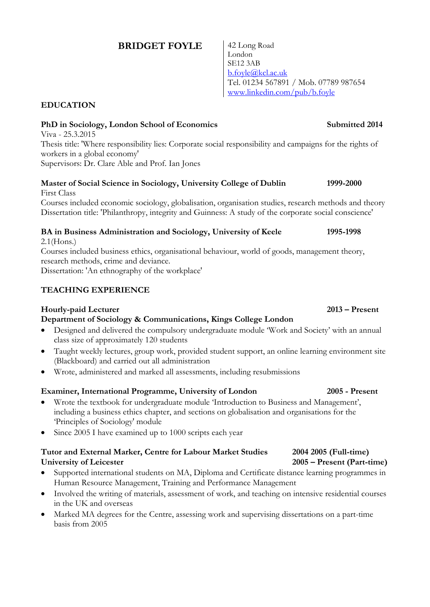# **BRIDGET FOYLE** | 42 Long Road

London SE12 3AB [b.foyle@kcl.ac.uk](mailto:b.foyle@kcl.ac.uk) Tel. 01234 567891 / Mob. 07789 987654 [www.linkedin.com/pub/b.foyle](http://www.linkedin.com/pub/b.foyle)

# **EDUCATION**

# **PhD in Sociology, London School of Economics Submitted 2014**

Viva - 25.3.2015 Thesis title: 'Where responsibility lies: Corporate social responsibility and campaigns for the rights of workers in a global economy' Supervisors: Dr. Clare Able and Prof. Ian Jones

### **Master of Social Science in Sociology, University College of Dublin 1999-2000** First Class

Courses included economic sociology, globalisation, organisation studies, research methods and theory Dissertation title: 'Philanthropy, integrity and Guinness: A study of the corporate social conscience'

# **BA in Business Administration and Sociology, University of Keele 1995-1998**

2.1(Hons.)

Courses included business ethics, organisational behaviour, world of goods, management theory, research methods, crime and deviance.

Dissertation: 'An ethnography of the workplace'

## **TEACHING EXPERIENCE**

## **Hourly-paid Lecturer 2013 – Present**

## **Department of Sociology & Communications, Kings College London**

- Designed and delivered the compulsory undergraduate module 'Work and Society' with an annual class size of approximately 120 students
- Taught weekly lectures, group work, provided student support, an online learning environment site (Blackboard) and carried out all administration
- Wrote, administered and marked all assessments, including resubmissions

## **Examiner, International Programme, University of London 2005 - Present**

- Wrote the textbook for undergraduate module 'Introduction to Business and Management', including a business ethics chapter, and sections on globalisation and organisations for the 'Principles of Sociology' module
- Since 2005 I have examined up to 1000 scripts each year

## **Tutor and External Marker, Centre for Labour Market Studies 2004 2005 (Full-time) University of Leicester 2005 – Present (Part-time)**

- Supported international students on MA, Diploma and Certificate distance learning programmes in Human Resource Management, Training and Performance Management
- Involved the writing of materials, assessment of work, and teaching on intensive residential courses in the UK and overseas
- Marked MA degrees for the Centre, assessing work and supervising dissertations on a part-time basis from 2005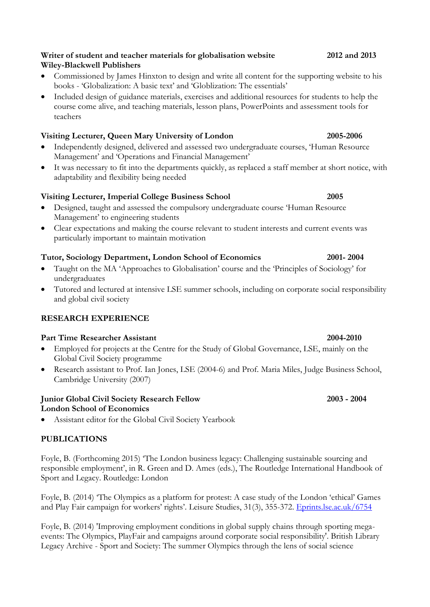- **Writer of student and teacher materials for globalisation website 2012 and 2013 Wiley-Blackwell Publishers**
- Commissioned by James Hinxton to design and write all content for the supporting website to his books - 'Globalization: A basic text' and 'Globlization: The essentials'
- Included design of guidance materials, exercises and additional resources for students to help the course come alive, and teaching materials, lesson plans, PowerPoints and assessment tools for teachers

# **Visiting Lecturer, Queen Mary University of London 2005-2006**

- Independently designed, delivered and assessed two undergraduate courses, 'Human Resource Management' and 'Operations and Financial Management'
- It was necessary to fit into the departments quickly, as replaced a staff member at short notice, with adaptability and flexibility being needed

# **Visiting Lecturer, Imperial College Business School 2005**

- Designed, taught and assessed the compulsory undergraduate course 'Human Resource Management' to engineering students
- Clear expectations and making the course relevant to student interests and current events was particularly important to maintain motivation

# **Tutor, Sociology Department, London School of Economics 2001- 2004**

- Taught on the MA 'Approaches to Globalisation' course and the 'Principles of Sociology' for undergraduates
- Tutored and lectured at intensive LSE summer schools, including on corporate social responsibility and global civil society

# **RESEARCH EXPERIENCE**

# **Part Time Researcher Assistant 2004-2010**

- Employed for projects at the Centre for the Study of Global Governance, LSE, mainly on the Global Civil Society programme
- Research assistant to Prof. Ian Jones, LSE (2004-6) and Prof. Maria Miles, Judge Business School, Cambridge University (2007)

## **Junior Global Civil Society Research Fellow 2003 - 2004 London School of Economics**

Assistant editor for the Global Civil Society Yearbook

# **PUBLICATIONS**

Foyle, B. (Forthcoming 2015) 'The London business legacy: Challenging sustainable sourcing and responsible employment', in R. Green and D. Ames (eds.), The Routledge International Handbook of Sport and Legacy. Routledge: London

Foyle, B. (2014) 'The Olympics as a platform for protest: A case study of the London 'ethical' Games and Play Fair campaign for workers' rights'. Leisure Studies, 31(3), 355-372. <Eprints.lse.ac.uk/6754>

Foyle, B. (2014) 'Improving employment conditions in global supply chains through sporting megaevents: The Olympics, PlayFair and campaigns around corporate social responsibility'. British Library Legacy Archive - Sport and Society: The summer Olympics through the lens of social science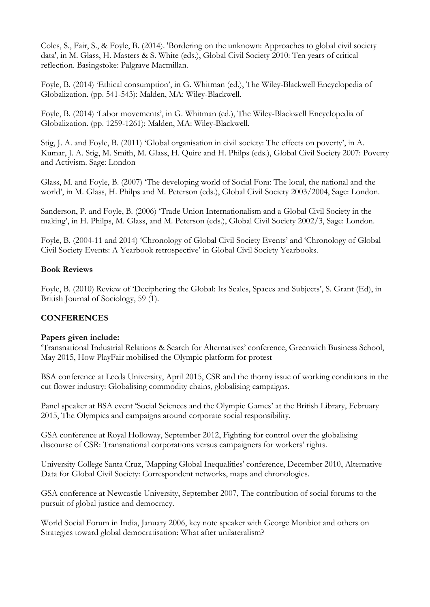Coles, S., Fair, S., & Foyle, B. (2014). 'Bordering on the unknown: Approaches to global civil society data', in M. Glass, H. Masters & S. White (eds.), Global Civil Society 2010: Ten years of critical reflection. Basingstoke: Palgrave Macmillan.

Foyle, B. (2014) 'Ethical consumption', in G. Whitman (ed.), The Wiley-Blackwell Encyclopedia of Globalization. (pp. 541-543): Malden, MA: Wiley-Blackwell.

Foyle, B. (2014) 'Labor movements', in G. Whitman (ed.), The Wiley-Blackwell Encyclopedia of Globalization. (pp. 1259-1261): Malden, MA: Wiley-Blackwell.

Stig, J. A. and Foyle, B. (2011) 'Global organisation in civil society: The effects on poverty', in A. Kumar, J. A. Stig, M. Smith, M. Glass, H. Quire and H. Philps (eds.), Global Civil Society 2007: Poverty and Activism. Sage: London

Glass, M. and Foyle, B. (2007) 'The developing world of Social Fora: The local, the national and the world', in M. Glass, H. Philps and M. Peterson (eds.), Global Civil Society 2003/2004, Sage: London.

Sanderson, P. and Foyle, B. (2006) 'Trade Union Internationalism and a Global Civil Society in the making', in H. Philps, M. Glass, and M. Peterson (eds.), Global Civil Society 2002/3, Sage: London.

Foyle, B. (2004-11 and 2014) 'Chronology of Global Civil Society Events' and 'Chronology of Global Civil Society Events: A Yearbook retrospective' in Global Civil Society Yearbooks.

### **Book Reviews**

Foyle, B. (2010) Review of 'Deciphering the Global: Its Scales, Spaces and Subjects', S. Grant (Ed), in British Journal of Sociology, 59 (1).

### **CONFERENCES**

### **Papers given include:**

'Transnational Industrial Relations & Search for Alternatives' conference, Greenwich Business School, May 2015, How PlayFair mobilised the Olympic platform for protest

BSA conference at Leeds University, April 2015, CSR and the thorny issue of working conditions in the cut flower industry: Globalising commodity chains, globalising campaigns.

Panel speaker at BSA event 'Social Sciences and the Olympic Games' at the British Library, February 2015, The Olympics and campaigns around corporate social responsibility.

GSA conference at Royal Holloway, September 2012, Fighting for control over the globalising discourse of CSR: Transnational corporations versus campaigners for workers' rights.

University College Santa Cruz, 'Mapping Global Inequalities' conference, December 2010, Alternative Data for Global Civil Society: Correspondent networks, maps and chronologies.

GSA conference at Newcastle University, September 2007, The contribution of social forums to the pursuit of global justice and democracy.

World Social Forum in India, January 2006, key note speaker with George Monbiot and others on Strategies toward global democratisation: What after unilateralism?